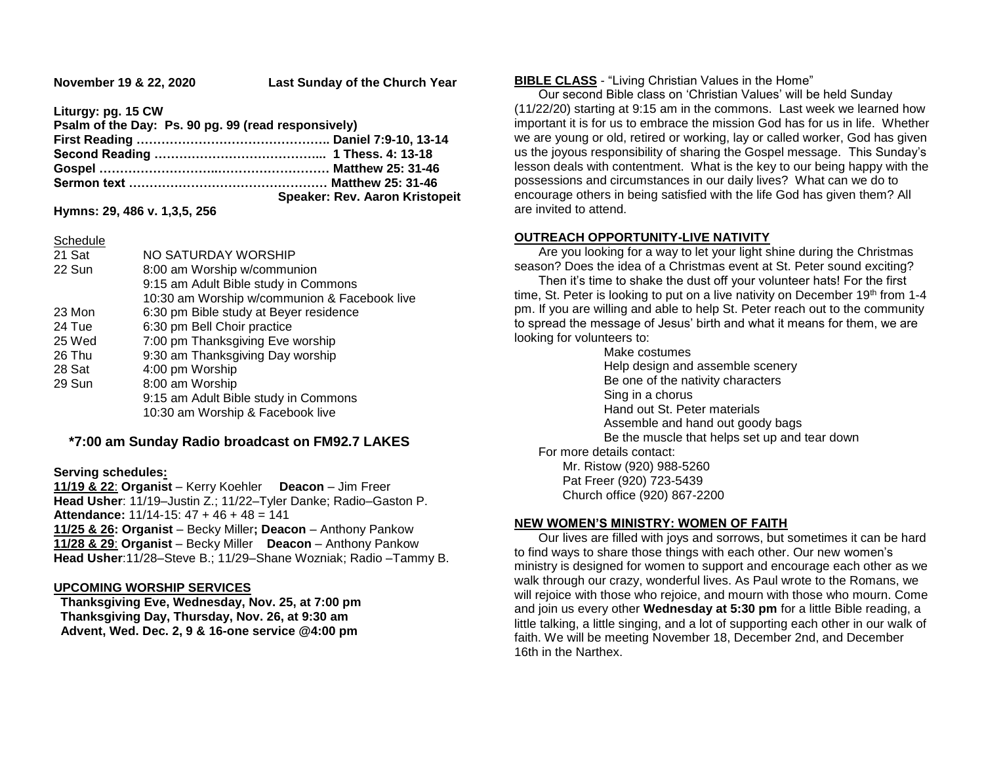**November 19 & 22, 2020 Last Sunday of the Church Year**

**Liturgy: pg. 15 CW**

| Psalm of the Day: Ps. 90 pg. 99 (read responsively) |                                       |
|-----------------------------------------------------|---------------------------------------|
|                                                     |                                       |
|                                                     |                                       |
|                                                     |                                       |
|                                                     |                                       |
|                                                     | <b>Speaker: Rev. Aaron Kristopeit</b> |
|                                                     |                                       |

**Hymns: 29, 486 v. 1,3,5, 256**

Schedule

| 21 Sat | NO SATURDAY WORSHIP                          |
|--------|----------------------------------------------|
| 22 Sun | 8:00 am Worship w/communion                  |
|        | 9:15 am Adult Bible study in Commons         |
|        | 10:30 am Worship w/communion & Facebook live |
| 23 Mon | 6:30 pm Bible study at Beyer residence       |
| 24 Tue | 6:30 pm Bell Choir practice                  |
| 25 Wed | 7:00 pm Thanksgiving Eve worship             |
| 26 Thu | 9:30 am Thanksgiving Day worship             |
| 28 Sat | 4:00 pm Worship                              |
| 29 Sun | 8:00 am Worship                              |
|        | 9:15 am Adult Bible study in Commons         |
|        | 10:30 am Worship & Facebook live             |

# **\*7:00 am Sunday Radio broadcast on FM92.7 LAKES**

## **Serving schedules:**

**11/19 & 22**: **Organist** – Kerry Koehler **Deacon** – Jim Freer **Head Usher**: 11/19–Justin Z.; 11/22–Tyler Danke; Radio–Gaston P. **Attendance:** 11/14-15: 47 + 46 + 48 = 141 **11/25 & 26: Organist** – Becky Miller**; Deacon** – Anthony Pankow **11/28 & 29**: **Organist** – Becky Miller **Deacon** – Anthony Pankow **Head Usher**:11/28–Steve B.; 11/29–Shane Wozniak; Radio –Tammy B.

# **UPCOMING WORSHIP SERVICES**

 **Thanksgiving Eve, Wednesday, Nov. 25, at 7:00 pm Thanksgiving Day, Thursday, Nov. 26, at 9:30 am Advent, Wed. Dec. 2, 9 & 16-one service @4:00 pm**

### **BIBLE CLASS** - "Living Christian Values in the Home"

 Our second Bible class on 'Christian Values' will be held Sunday (11/22/20) starting at 9:15 am in the commons. Last week we learned how important it is for us to embrace the mission God has for us in life. Whether we are young or old, retired or working, lay or called worker, God has given us the joyous responsibility of sharing the Gospel message. This Sunday's lesson deals with contentment. What is the key to our being happy with the possessions and circumstances in our daily lives? What can we do to encourage others in being satisfied with the life God has given them? All are invited to attend.

## **OUTREACH OPPORTUNITY-LIVE NATIVITY**

 Are you looking for a way to let your light shine during the Christmas season? Does the idea of a Christmas event at St. Peter sound exciting?

 Then it's time to shake the dust off your volunteer hats! For the first time, St. Peter is looking to put on a live nativity on December 19<sup>th</sup> from 1-4 pm. If you are willing and able to help St. Peter reach out to the community to spread the message of Jesus' birth and what it means for them, we are looking for volunteers to:

Make costumes Help design and assemble scenery Be one of the nativity characters Sing in a chorus Hand out St. Peter materials Assemble and hand out goody bags Be the muscle that helps set up and tear down For more details contact:

 Mr. Ristow (920) 988-5260 Pat Freer (920) 723-5439 Church office (920) 867-2200

# **NEW WOMEN'S MINISTRY: WOMEN OF FAITH**

 Our lives are filled with joys and sorrows, but sometimes it can be hard to find ways to share those things with each other. Our new women's ministry is designed for women to support and encourage each other as we walk through our crazy, wonderful lives. As Paul wrote to the Romans, we will rejoice with those who rejoice, and mourn with those who mourn. Come and join us every other **Wednesday at 5:30 pm** for a little Bible reading, a little talking, a little singing, and a lot of supporting each other in our walk of faith. We will be meeting November 18, December 2nd, and December 16th in the Narthex.